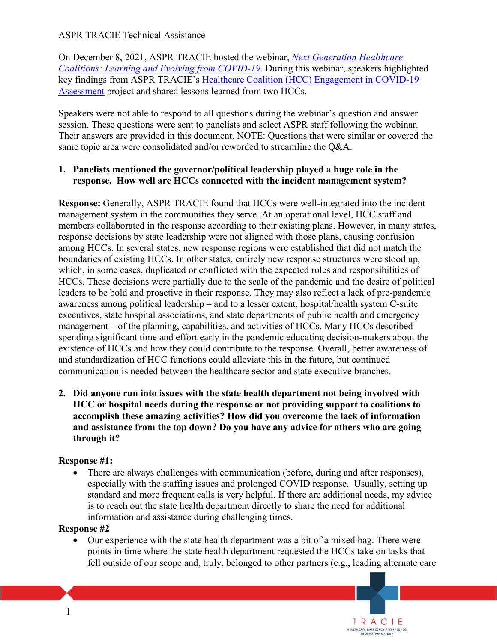## **ASPR TRACIE Technical Assistance**

 *[Coalitions: Learning and Evolving from COVID-19](https://files.asprtracie.hhs.gov/documents/aspr-tracie-next-generation-hccs-webinar-final.pdf)*. During this webinar, speakers highlighted key findings from ASPR TRACIE's Healthcare Coalition (HCC) Engagement in COVID-19 [Assessment](https://files.asprtracie.hhs.gov/documents/healthcare-coalition-engagement-in-covid-19-assessment-infographic-final.pdf) project and shared lessons learned from two HCCs. On December 8, 2021, ASPR TRACIE hosted the webinar, *Next Generation Healthcare* 

 Speakers were not able to respond to all questions during the webinar's question and answer session. These questions were sent to panelists and select ASPR staff following the webinar. Their answers are provided in this document. NOTE: Questions that were similar or covered the same topic area were consolidated and/or reworded to streamline the Q&A.

#### **1. Panelists mentioned the governor/political leadership played a huge role in the response. How well are HCCs connected with the incident management system?**

 existence of HCCs and how they could contribute to the response. Overall, better awareness of communication is needed between the healthcare sector and state executive branches. **Response:** Generally, ASPR TRACIE found that HCCs were well-integrated into the incident management system in the communities they serve. At an operational level, HCC staff and members collaborated in the response according to their existing plans. However, in many states, response decisions by state leadership were not aligned with those plans, causing confusion among HCCs. In several states, new response regions were established that did not match the boundaries of existing HCCs. In other states, entirely new response structures were stood up, which, in some cases, duplicated or conflicted with the expected roles and responsibilities of HCCs. These decisions were partially due to the scale of the pandemic and the desire of political leaders to be bold and proactive in their response. They may also reflect a lack of pre-pandemic awareness among political leadership – and to a lesser extent, hospital/health system C-suite executives, state hospital associations, and state departments of public health and emergency management – of the planning, capabilities, and activities of HCCs. Many HCCs described spending significant time and effort early in the pandemic educating decision-makers about the and standardization of HCC functions could alleviate this in the future, but continued

**2. Did anyone run into issues with the state health department not being involved with HCC or hospital needs during the response or not providing support to coalitions to accomplish these amazing activities? How did you overcome the lack of information and assistance from the top down? Do you have any advice for others who are going through it?** 

#### **Response #1:**

 • There are always challenges with communication (before, during and after responses), is to reach out the state health department directly to share the need for additional especially with the staffing issues and prolonged COVID response. Usually, setting up standard and more frequent calls is very helpful. If there are additional needs, my advice information and assistance during challenging times.

#### **Response #2**

 points in time where the state health department requested the HCCs take on tasks that • Our experience with the state health department was a bit of a mixed bag. There were fell outside of our scope and, truly, belonged to other partners (e.g., leading alternate care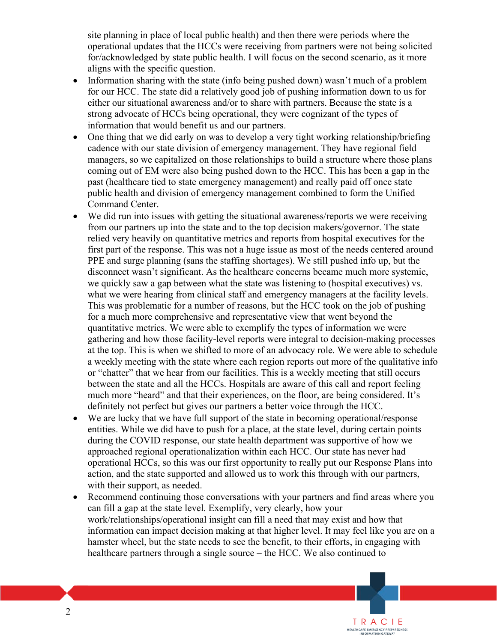site planning in place of local public health) and then there were periods where the operational updates that the HCCs were receiving from partners were not being solicited for/acknowledged by state public health. I will focus on the second scenario, as it more aligns with the specific question.

- Information sharing with the state (info being pushed down) wasn't much of a problem for our HCC. The state did a relatively good job of pushing information down to us for either our situational awareness and/or to share with partners. Because the state is a strong advocate of HCCs being operational, they were cognizant of the types of information that would benefit us and our partners.
- One thing that we did early on was to develop a very tight working relationship/briefing cadence with our state division of emergency management. They have regional field managers, so we capitalized on those relationships to build a structure where those plans coming out of EM were also being pushed down to the HCC. This has been a gap in the past (healthcare tied to state emergency management) and really paid off once state public health and division of emergency management combined to form the Unified Command Center.
- We did run into issues with getting the situational awareness/reports we were receiving from our partners up into the state and to the top decision makers/governor. The state relied very heavily on quantitative metrics and reports from hospital executives for the first part of the response. This was not a huge issue as most of the needs centered around PPE and surge planning (sans the staffing shortages). We still pushed info up, but the disconnect wasn't significant. As the healthcare concerns became much more systemic, we quickly saw a gap between what the state was listening to (hospital executives) vs. what we were hearing from clinical staff and emergency managers at the facility levels. This was problematic for a number of reasons, but the HCC took on the job of pushing for a much more comprehensive and representative view that went beyond the quantitative metrics. We were able to exemplify the types of information we were gathering and how those facility-level reports were integral to decision-making processes at the top. This is when we shifted to more of an advocacy role. We were able to schedule a weekly meeting with the state where each region reports out more of the qualitative info or "chatter" that we hear from our facilities. This is a weekly meeting that still occurs between the state and all the HCCs. Hospitals are aware of this call and report feeling much more "heard" and that their experiences, on the floor, are being considered. It's definitely not perfect but gives our partners a better voice through the HCC.
- • We are lucky that we have full support of the state in becoming operational/response during the COVID response, our state health department was supportive of how we entities. While we did have to push for a place, at the state level, during certain points approached regional operationalization within each HCC. Our state has never had operational HCCs, so this was our first opportunity to really put our Response Plans into action, and the state supported and allowed us to work this through with our partners, with their support, as needed.
- Recommend continuing those conversations with your partners and find areas where you can fill a gap at the state level. Exemplify, very clearly, how your work/relationships/operational insight can fill a need that may exist and how that information can impact decision making at that higher level. It may feel like you are on a hamster wheel, but the state needs to see the benefit, to their efforts, in engaging with healthcare partners through a single source – the HCC. We also continued to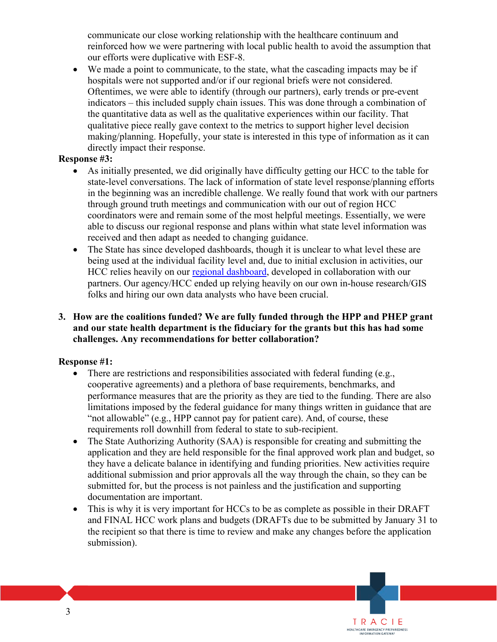communicate our close working relationship with the healthcare continuum and reinforced how we were partnering with local public health to avoid the assumption that our efforts were duplicative with ESF-8.

 • We made a point to communicate, to the state, what the cascading impacts may be if hospitals were not supported and/or if our regional briefs were not considered. Oftentimes, we were able to identify (through our partners), early trends or pre-event indicators – this included supply chain issues. This was done through a combination of the quantitative data as well as the qualitative experiences within our facility. That qualitative piece really gave context to the metrics to support higher level decision making/planning. Hopefully, your state is interested in this type of information as it can directly impact their response.

# **Response #3:**

- As initially presented, we did originally have difficulty getting our HCC to the table for state-level conversations. The lack of information of state level response/planning efforts in the beginning was an incredible challenge. We really found that work with our partners through ground truth meetings and communication with our out of region HCC coordinators were and remain some of the most helpful meetings. Essentially, we were able to discuss our regional response and plans within what state level information was received and then adapt as needed to changing guidance.
- The State has since developed dashboards, though it is unclear to what level these are being used at the individual facility level and, due to initial exclusion in activities, our HCC relies heavily on our [regional dashboard,](https://marc2.org/covidhub/) developed in collaboration with our partners. Our agency/HCC ended up relying heavily on our own in-house research/GIS folks and hiring our own data analysts who have been crucial.

# **3. How are the coalitions funded? We are fully funded through the HPP and PHEP grant and our state health department is the fiduciary for the grants but this has had some challenges. Any recommendations for better collaboration?**

## **Response #1:**

- • There are restrictions and responsibilities associated with federal funding (e.g., performance measures that are the priority as they are tied to the funding. There are also limitations imposed by the federal guidance for many things written in guidance that are cooperative agreements) and a plethora of base requirements, benchmarks, and "not allowable" (e.g., HPP cannot pay for patient care). And, of course, these requirements roll downhill from federal to state to sub-recipient.
- The State Authorizing Authority (SAA) is responsible for creating and submitting the application and they are held responsible for the final approved work plan and budget, so they have a delicate balance in identifying and funding priorities. New activities require additional submission and prior approvals all the way through the chain, so they can be submitted for, but the process is not painless and the justification and supporting documentation are important.
- This is why it is very important for HCCs to be as complete as possible in their DRAFT and FINAL HCC work plans and budgets (DRAFTs due to be submitted by January 31 to the recipient so that there is time to review and make any changes before the application submission).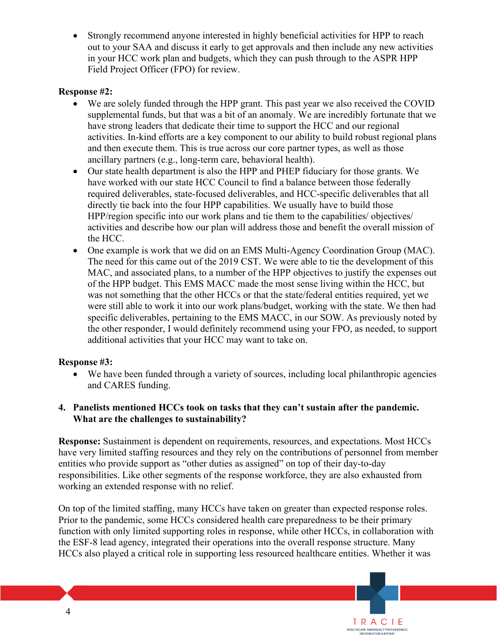• Strongly recommend anyone interested in highly beneficial activities for HPP to reach out to your SAA and discuss it early to get approvals and then include any new activities in your HCC work plan and budgets, which they can push through to the ASPR HPP Field Project Officer (FPO) for review.

## **Response #2:**

- and then execute them. This is true across our core partner types, as well as those • We are solely funded through the HPP grant. This past year we also received the COVID supplemental funds, but that was a bit of an anomaly. We are incredibly fortunate that we have strong leaders that dedicate their time to support the HCC and our regional activities. In-kind efforts are a key component to our ability to build robust regional plans ancillary partners (e.g., long-term care, behavioral health).
- • Our state health department is also the HPP and PHEP fiduciary for those grants. We HPP/region specific into our work plans and tie them to the capabilities/ objectives/ have worked with our state HCC Council to find a balance between those federally required deliverables, state-focused deliverables, and HCC-specific deliverables that all directly tie back into the four HPP capabilities. We usually have to build those activities and describe how our plan will address those and benefit the overall mission of the HCC.
- One example is work that we did on an EMS Multi-Agency Coordination Group (MAC). The need for this came out of the 2019 CST. We were able to tie the development of this MAC, and associated plans, to a number of the HPP objectives to justify the expenses out of the HPP budget. This EMS MACC made the most sense living within the HCC, but was not something that the other HCCs or that the state/federal entities required, yet we were still able to work it into our work plans/budget, working with the state. We then had specific deliverables, pertaining to the EMS MACC, in our SOW. As previously noted by the other responder, I would definitely recommend using your FPO, as needed, to support additional activities that your HCC may want to take on.

## **Response #3:**

• We have been funded through a variety of sources, including local philanthropic agencies and CARES funding.

## **4. Panelists mentioned HCCs took on tasks that they can't sustain after the pandemic. What are the challenges to sustainability?**

**Response:** Sustainment is dependent on requirements, resources, and expectations. Most HCCs have very limited staffing resources and they rely on the contributions of personnel from member entities who provide support as "other duties as assigned" on top of their day-to-day responsibilities. Like other segments of the response workforce, they are also exhausted from working an extended response with no relief.

On top of the limited staffing, many HCCs have taken on greater than expected response roles. Prior to the pandemic, some HCCs considered health care preparedness to be their primary function with only limited supporting roles in response, while other HCCs, in collaboration with the ESF-8 lead agency, integrated their operations into the overall response structure. Many HCCs also played a critical role in supporting less resourced healthcare entities. Whether it was

TRACIE EMERGENCY PREPAREDNESS